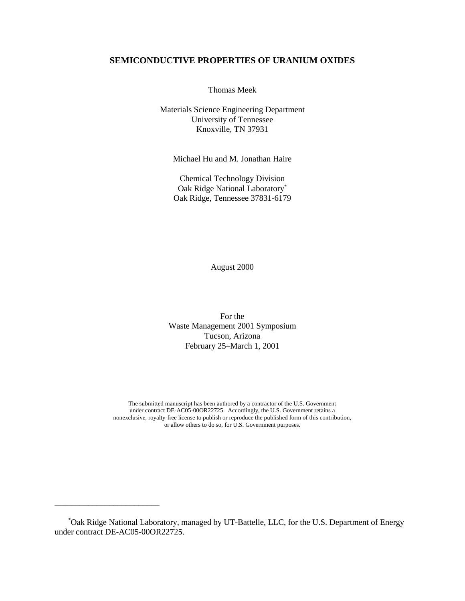# **SEMICONDUCTIVE PROPERTIES OF URANIUM OXIDES**

Thomas Meek

Materials Science Engineering Department University of Tennessee Knoxville, TN 37931

Michael Hu and M. Jonathan Haire

Chemical Technology Division Oak Ridge National Laboratory\* Oak Ridge, Tennessee 37831-6179

August 2000

For the Waste Management 2001 Symposium Tucson, Arizona February 25–March 1, 2001

The submitted manuscript has been authored by a contractor of the U.S. Government under contract DE-AC05-00OR22725. Accordingly, the U.S. Government retains a nonexclusive, royalty-free license to publish or reproduce the published form of this contribution, or allow others to do so, for U.S. Government purposes.

\* Oak Ridge National Laboratory, managed by UT-Battelle, LLC, for the U.S. Department of Energy under contract DE-AC05-00OR22725.

\_\_\_\_\_\_\_\_\_\_\_\_\_\_\_\_\_\_\_\_\_\_\_\_\_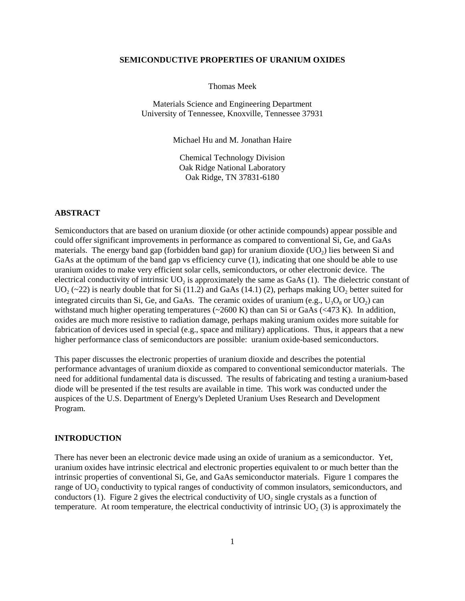#### **SEMICONDUCTIVE PROPERTIES OF URANIUM OXIDES**

Thomas Meek

Materials Science and Engineering Department University of Tennessee, Knoxville, Tennessee 37931

Michael Hu and M. Jonathan Haire

Chemical Technology Division Oak Ridge National Laboratory Oak Ridge, TN 37831-6180

# **ABSTRACT**

Semiconductors that are based on uranium dioxide (or other actinide compounds) appear possible and could offer significant improvements in performance as compared to conventional Si, Ge, and GaAs materials. The energy band gap (forbidden band gap) for uranium dioxide  $(UO<sub>2</sub>)$  lies between Si and GaAs at the optimum of the band gap vs efficiency curve (1), indicating that one should be able to use uranium oxides to make very efficient solar cells, semiconductors, or other electronic device. The electrical conductivity of intrinsic  $UO<sub>2</sub>$  is approximately the same as GaAs (1). The dielectric constant of  $UO<sub>2</sub>$  (~22) is nearly double that for Si (11.2) and GaAs (14.1) (2), perhaps making  $UO<sub>2</sub>$  better suited for integrated circuits than Si, Ge, and GaAs. The ceramic oxides of uranium (e.g.,  $U_3O_8$  or  $UO_2$ ) can withstand much higher operating temperatures  $(\sim 2600 \text{ K})$  than can Si or GaAs  $(\leq 473 \text{ K})$ . In addition, oxides are much more resistive to radiation damage, perhaps making uranium oxides more suitable for fabrication of devices used in special (e.g., space and military) applications. Thus, it appears that a new higher performance class of semiconductors are possible: uranium oxide-based semiconductors.

This paper discusses the electronic properties of uranium dioxide and describes the potential performance advantages of uranium dioxide as compared to conventional semiconductor materials. The need for additional fundamental data is discussed. The results of fabricating and testing a uranium-based diode will be presented if the test results are available in time. This work was conducted under the auspices of the U.S. Department of Energy's Depleted Uranium Uses Research and Development Program.

#### **INTRODUCTION**

There has never been an electronic device made using an oxide of uranium as a semiconductor. Yet, uranium oxides have intrinsic electrical and electronic properties equivalent to or much better than the intrinsic properties of conventional Si, Ge, and GaAs semiconductor materials. Figure 1 compares the range of UO<sub>2</sub> conductivity to typical ranges of conductivity of common insulators, semiconductors, and conductors (1). Figure 2 gives the electrical conductivity of  $UO<sub>2</sub>$  single crystals as a function of temperature. At room temperature, the electrical conductivity of intrinsic  $UO<sub>2</sub>(3)$  is approximately the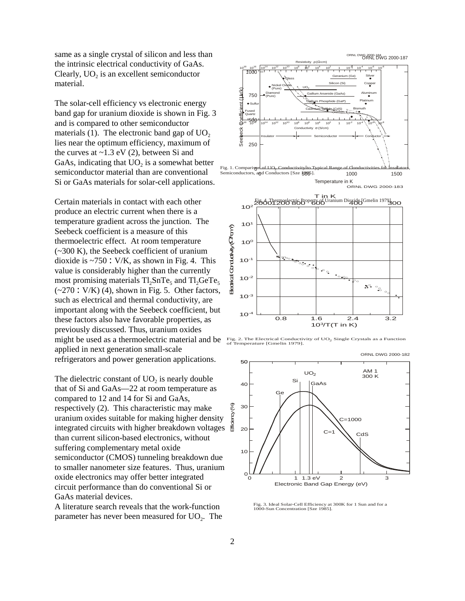same as a single crystal of silicon and less than the intrinsic electrical conductivity of GaAs. Clearly,  $UO<sub>2</sub>$  is an excellent semiconductor material.

The solar-cell efficiency vs electronic energy band gap for uranium dioxide is shown in Fig. 3 and is compared to other semiconductor materials (1). The electronic band gap of  $UO<sub>2</sub>$ lies near the optimum efficiency, maximum of the curves at  $\sim$ 1.3 eV (2), between Si and GaAs, indicating that  $UO<sub>2</sub>$  is a somewhat better semiconductor material than are conventional Si or GaAs materials for solar-cell applications.

Certain materials in contact with each other produce an electric current when there is a temperature gradient across the junction. The Seebeck coefficient is a measure of this thermoelectric effect. At room temperature (~300 K), the Seebeck coefficient of uranium dioxide is  $\sim$ 750 : V/K, as shown in Fig. 4. This value is considerably higher than the currently most promising materials  $Tl_2SnTe_5$  and  $Tl_2GeTe_5$  $(-270: V/K)$  (4), shown in Fig. 5. Other factors, such as electrical and thermal conductivity, are important along with the Seebeck coefficient, but these factors also have favorable properties, as previously discussed. Thus, uranium oxides might be used as a thermoelectric material and be applied in next generation small-scale refrigerators and power generation applications.

The dielectric constant of  $UO<sub>2</sub>$  is nearly double that of Si and GaAs—22 at room temperature as compared to 12 and 14 for Si and GaAs, respectively (2). This characteristic may make uranium oxides suitable for making higher density integrated circuits with higher breakdown voltages than current silicon-based electronics, without suffering complementary metal oxide semiconductor (CMOS) tunneling breakdown due to smaller nanometer size features. Thus, uranium oxide electronics may offer better integrated circuit performance than do conventional Si or GaAs material devices.

A literature search reveals that the work-function parameter has never been measured for  $UO<sub>2</sub>$ . The





1.6

1.6 2.4<br>10<sup>3</sup>/T(T in K)

3.2

0.8



Fig. 3. Ideal Solar-Cell Efficiency at 300K for 1 Sun and for a 1000-Sun Concentration [Sze 1985].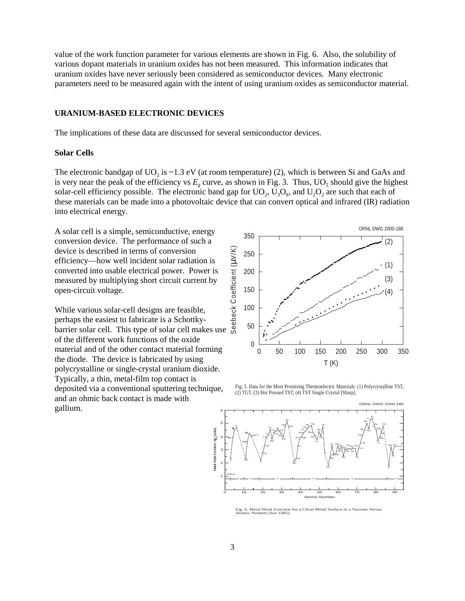value of the work function parameter for various elements are shown in Fig. 6. Also, the solubility of various dopant materials in uranium oxides has not been measured. This information indicates that uranium oxides have never seriously been considered as semiconductor devices. Many electronic parameters need to be measured again with the intent of using uranium oxides as semiconductor material.

## **URANIUM-BASED ELECTRONIC DEVICES**

The implications of these data are discussed for several semiconductor devices.

#### **Solar Cells**

The electronic bandgap of  $UO<sub>2</sub>$  is ~1.3 eV (at room temperature) (2), which is between Si and GaAs and is very near the peak of the efficiency vs  $E_{\varrho}$  curve, as shown in Fig. 3. Thus,  $UO_2$  should give the highest solar-cell efficiency possible. The electronic band gap for  $UO_2$ ,  $U_3O_8$ , and  $U_2O_2$  are such that each of these materials can be made into a photovoltaic device that can convert optical and infrared (IR) radiation into electrical energy.

A solar cell is a simple, semiconductive, energy conversion device. The performance of such a device is described in terms of conversion efficiency—how well incident solar radiation is converted into usable electrical power. Power is measured by multiplying short circuit current by open-circuit voltage.

While various solar-cell designs are feasible, perhaps the easiest to fabricate is a Schottkybarrier solar cell. This type of solar cell makes use of the different work functions of the oxide material and of the other contact material forming the diode. The device is fabricated by using polycrystalline or single-crystal uranium dioxide. Typically, a thin, metal-film top contact is deposited via a conventional sputtering technique, and an ohmic back contact is made with gallium.



Fig. 5. Data for the Most Promising Thermoelectric Materials: (1) Polycrystalline TST, (2) TGT, (3) Hot Pressed TST, (4) TST Single Crystal [Sharp].



Fig. 6. Metal Work Function for a Clean Metal Surface in a Vacuum Versus Atomic Number [Sze 1985].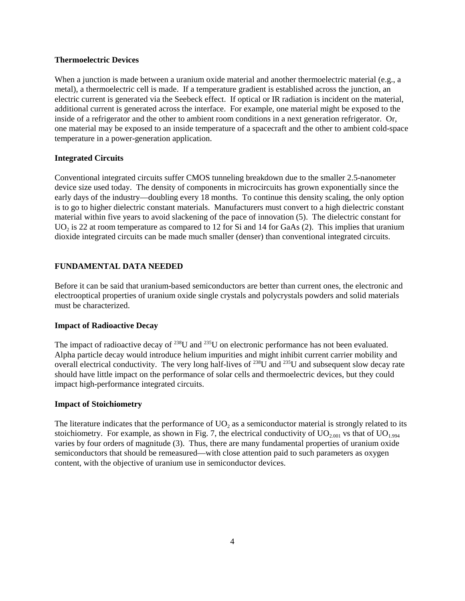#### **Thermoelectric Devices**

When a junction is made between a uranium oxide material and another thermoelectric material (e.g., a metal), a thermoelectric cell is made. If a temperature gradient is established across the junction, an electric current is generated via the Seebeck effect. If optical or IR radiation is incident on the material, additional current is generated across the interface. For example, one material might be exposed to the inside of a refrigerator and the other to ambient room conditions in a next generation refrigerator. Or, one material may be exposed to an inside temperature of a spacecraft and the other to ambient cold-space temperature in a power-generation application.

## **Integrated Circuits**

Conventional integrated circuits suffer CMOS tunneling breakdown due to the smaller 2.5-nanometer device size used today. The density of components in microcircuits has grown exponentially since the early days of the industry—doubling every 18 months. To continue this density scaling, the only option is to go to higher dielectric constant materials. Manufacturers must convert to a high dielectric constant material within five years to avoid slackening of the pace of innovation (5). The dielectric constant for UO<sub>2</sub> is 22 at room temperature as compared to 12 for Si and 14 for GaAs (2). This implies that uranium dioxide integrated circuits can be made much smaller (denser) than conventional integrated circuits.

## **FUNDAMENTAL DATA NEEDED**

Before it can be said that uranium-based semiconductors are better than current ones, the electronic and electrooptical properties of uranium oxide single crystals and polycrystals powders and solid materials must be characterized.

## **Impact of Radioactive Decay**

The impact of radioactive decay of <sup>238</sup>U and <sup>235</sup>U on electronic performance has not been evaluated. Alpha particle decay would introduce helium impurities and might inhibit current carrier mobility and overall electrical conductivity. The very long half-lives of  $^{238}$ U and  $^{235}$ U and subsequent slow decay rate should have little impact on the performance of solar cells and thermoelectric devices, but they could impact high-performance integrated circuits.

### **Impact of Stoichiometry**

The literature indicates that the performance of  $UO<sub>2</sub>$  as a semiconductor material is strongly related to its stoichiometry. For example, as shown in Fig. 7, the electrical conductivity of  $UO_{2.001}$  vs that of  $UO_{1.994}$ varies by four orders of magnitude (3). Thus, there are many fundamental properties of uranium oxide semiconductors that should be remeasured—with close attention paid to such parameters as oxygen content, with the objective of uranium use in semiconductor devices.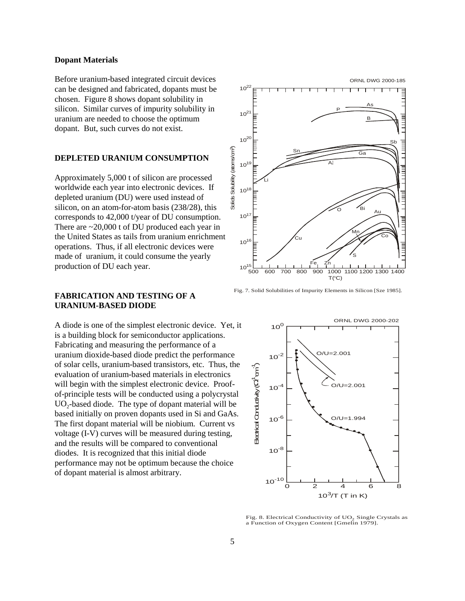#### **Dopant Materials**

Before uranium-based integrated circuit devices can be designed and fabricated, dopants must be chosen. Figure 8 shows dopant solubility in silicon. Similar curves of impurity solubility in uranium are needed to choose the optimum dopant. But, such curves do not exist.

### **DEPLETED URANIUM CONSUMPTION**

Approximately 5,000 t of silicon are processed worldwide each year into electronic devices. If depleted uranium (DU) were used instead of silicon, on an atom-for-atom basis (238/28), this corresponds to 42,000 t/year of DU consumption. There are ~20,000 t of DU produced each year in the United States as tails from uranium enrichment operations. Thus, if all electronic devices were made of uranium, it could consume the yearly production of DU each year.

## **FABRICATION AND TESTING OF A URANIUM-BASED DIODE**

A diode is one of the simplest electronic device. Yet, it is a building block for semiconductor applications. Fabricating and measuring the performance of a uranium dioxide-based diode predict the performance of solar cells, uranium-based transistors, etc. Thus, the evaluation of uranium-based materials in electronics will begin with the simplest electronic device. Proofof-principle tests will be conducted using a polycrystal  $UO<sub>2</sub>$ -based diode. The type of dopant material will be based initially on proven dopants used in Si and GaAs. The first dopant material will be niobium. Current vs voltage (I-V) curves will be measured during testing, and the results will be compared to conventional diodes. It is recognized that this initial diode performance may not be optimum because the choice of dopant material is almost arbitrary.



Fig. 7. Solid Solubilities of Impurity Elements in Silicon [Sze 1985].



Fig. 8. Electrical Conductivity of UO<sub>2</sub> Single Crystals as a Function of Oxygen Content [Gmelin 1979]. <sup>2</sup>